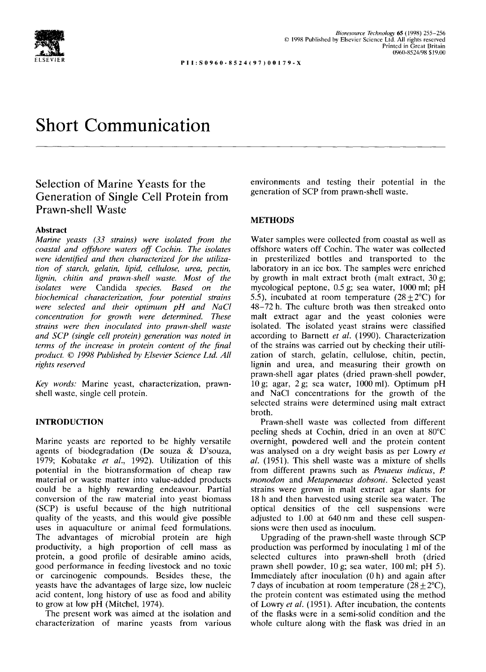

**PI 1:S0960-8524(97) 00179-X** 

# **Short Communication**

# **Selection of Marine Yeasts for the Generation of Single Cell Protein from Prawn-shell Waste**

## **Abstract**

*Marine yeasts (33 strains) were isolated from the coastal and offshore waters off Cochin. The isolates were identified and then characterized for the utilization of starch, gelatin, lipid, cellulose, urea, pectin, lignin, chitin and prawn-shell waste. Most of the isolates were* Candida *species. Based on the biochemical characterization, four potential strains were selected and their optimum pH and NaCI concentration for growth were determined. These strains were then inoculated into prawn-shell waste and SCP (single cell protein) generation was noted in terms of the increase in protein content of the final product. © 1998 Published by Elsevier Science Ltd. All rights reserved* 

*Key words:* Marine yeast, characterization, prawnshell waste, single cell protein.

### **INTRODUCTION**

Marine yeasts are reported to be highly versatile agents of biodegradation (De souza & D'souza, 1979; Kobatake *et al.,* 1992). Utilization of this potential in the biotransformation of cheap raw material or waste matter into value-added products could be a highly rewarding endeavour. Partial conversion of the raw material into yeast biomass (SCP) is useful because of the high nutritional quality of the yeasts, and this would give possible uses in aquaculture or animal feed formulations. The advantages of microbial protein are high productivity, a high proportion of cell mass as protein, a good profile of desirable amino acids, good performance in feeding livestock and no toxic or carcinogenic compounds. Besides these, the yeasts have the advantages of large size, low nucleic acid content, long history of use as food and ability to grow at low pH (Mitchel, 1974).

The present work was aimed at the isolation and characterization of marine yeasts from various

environments and testing their potential in the generation of SCP from prawn-shell waste.

## **METHODS**

Water samples were collected from coastal as well as offshore waters off Cochin. The water was collected in presterilized bottles and transported to the laboratory in an ice box. The samples were enriched by growth in malt extract broth (malt extract,  $30 g$ ; mycological peptone, 0.5 g; sea water, 1000 ml; pH 5.5), incubated at room temperature  $(28+2°C)$  for 48-72 h. The culture broth was then streaked onto malt extract agar and the yeast colonies were isolated. The isolated yeast strains were classified according to Barnett *et al.* (1990). Characterization of the strains was carried out by checking their utilization of starch, gelatin, cellulose, chitin, pectin, lignin and urea, and measuring their growth on prawn-shell agar plates (dried prawn-shell powder, 10 g; agar, 2 g; sea water, 1000 ml). Optimum pH and NaCI concentrations for the growth of the selected strains were determined using malt extract broth.

Prawn-shell waste was collected from different peeling sheds at Cochin, dried in an oven at 80°C overnight, powdered well and the protein content was analysed on a dry weight basis as per Lowry *et al.* (1951). This shell waste was a mixture of shells from different prawns such as *Penaeus indicus, P. monodon* and *Metapenaeus dobsoni.* Selected yeast strains were grown in malt extract agar slants for 18 h and then harvested using sterile sea water. The optical densities of the cell suspensions were adjusted to 1.00 at 640 nm and these cell suspensions were then used as inoculum.

Upgrading of the prawn-shell waste through SCP production was performed by inoculating 1 ml of the selected cultures into prawn-shell broth (dried prawn shell powder, 10 g; sea water, 100 ml; pH 5). Immediately after inoculation (0 h) and again after 7 days of incubation at room temperature  $(28 \pm 2^{\circ}C)$ , the protein content was estimated using the method of Lowry *et al.* (1951). After incubation, the contents of the flasks were in a semi-solid condition and the whole culture along with the flask was dried in an